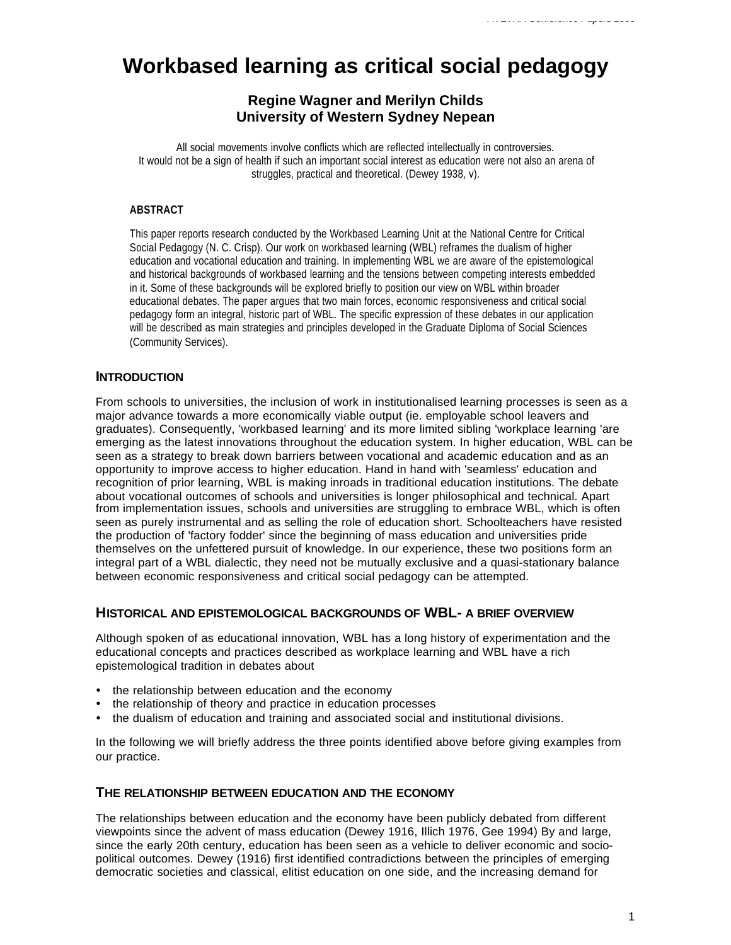# **Workbased learning as critical social pedagogy**

# **Regine Wagner and Merilyn Childs University of Western Sydney Nepean**

All social movements involve conflicts which are reflected intellectually in controversies. It would not be a sign of health if such an important social interest as education were not also an arena of struggles, practical and theoretical. (Dewey 1938, v).

## **ABSTRACT**

This paper reports research conducted by the Workbased Learning Unit at the National Centre for Critical Social Pedagogy (N. C. Crisp). Our work on workbased learning (WBL) reframes the dualism of higher education and vocational education and training. In implementing WBL we are aware of the epistemological and historical backgrounds of workbased learning and the tensions between competing interests embedded in it. Some of these backgrounds will be explored briefly to position our view on WBL within broader educational debates. The paper argues that two main forces, economic responsiveness and critical social pedagogy form an integral, historic part of WBL. The specific expression of these debates in our application will be described as main strategies and principles developed in the Graduate Diploma of Social Sciences (Community Services).

# **INTRODUCTION**

From schools to universities, the inclusion of work in institutionalised learning processes is seen as a major advance towards a more economically viable output (ie. employable school leavers and graduates). Consequently, 'workbased learning' and its more limited sibling 'workplace learning 'are emerging as the latest innovations throughout the education system. In higher education, WBL can be seen as a strategy to break down barriers between vocational and academic education and as an opportunity to improve access to higher education. Hand in hand with 'seamless' education and recognition of prior learning, WBL is making inroads in traditional education institutions. The debate about vocational outcomes of schools and universities is longer philosophical and technical. Apart from implementation issues, schools and universities are struggling to embrace WBL, which is often seen as purely instrumental and as selling the role of education short. Schoolteachers have resisted the production of 'factory fodder' since the beginning of mass education and universities pride themselves on the unfettered pursuit of knowledge. In our experience, these two positions form an integral part of a WBL dialectic, they need not be mutually exclusive and a quasi-stationary balance between economic responsiveness and critical social pedagogy can be attempted.

## **HISTORICAL AND EPISTEMOLOGICAL BACKGROUNDS OF WBL- A BRIEF OVERVIEW**

Although spoken of as educational innovation, WBL has a long history of experimentation and the educational concepts and practices described as workplace learning and WBL have a rich epistemological tradition in debates about

- the relationship between education and the economy
- the relationship of theory and practice in education processes
- ü the dualism of education and training and associated social and institutional divisions.

In the following we will briefly address the three points identified above before giving examples from our practice.

# **THE RELATIONSHIP BETWEEN EDUCATION AND THE ECONOMY**

The relationships between education and the economy have been publicly debated from different viewpoints since the advent of mass education (Dewey 1916, Illich 1976, Gee 1994) By and large, since the early 20th century, education has been seen as a vehicle to deliver economic and sociopolitical outcomes. Dewey (1916) first identified contradictions between the principles of emerging democratic societies and classical, elitist education on one side, and the increasing demand for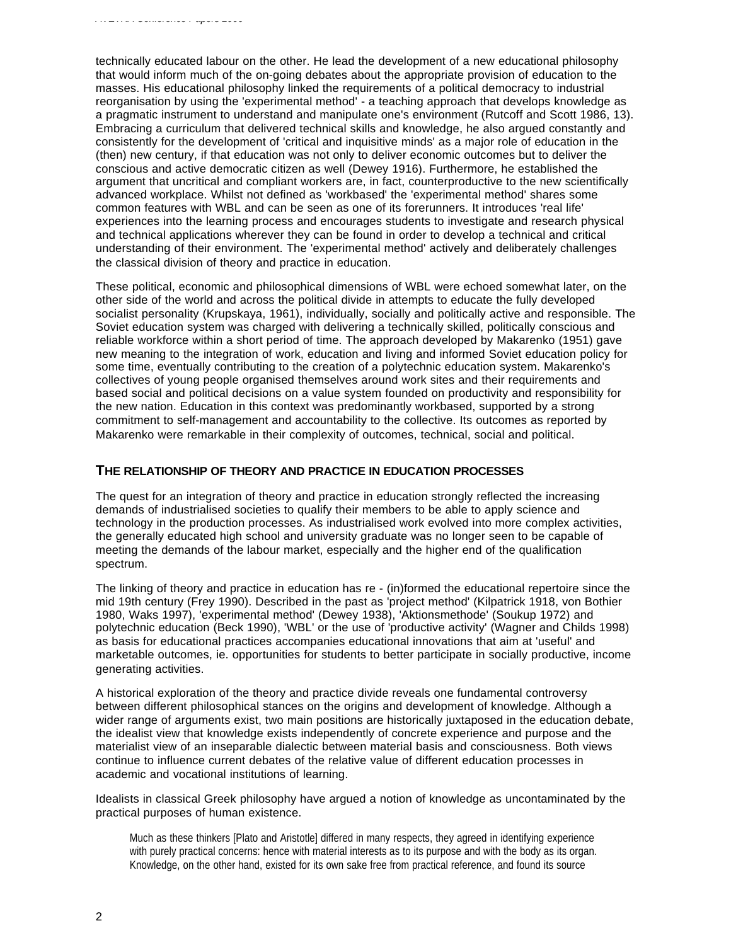technically educated labour on the other. He lead the development of a new educational philosophy that would inform much of the on-going debates about the appropriate provision of education to the masses. His educational philosophy linked the requirements of a political democracy to industrial reorganisation by using the 'experimental method' - a teaching approach that develops knowledge as a pragmatic instrument to understand and manipulate one's environment (Rutcoff and Scott 1986, 13). Embracing a curriculum that delivered technical skills and knowledge, he also argued constantly and consistently for the development of 'critical and inquisitive minds' as a major role of education in the (then) new century, if that education was not only to deliver economic outcomes but to deliver the conscious and active democratic citizen as well (Dewey 1916). Furthermore, he established the argument that uncritical and compliant workers are, in fact, counterproductive to the new scientifically advanced workplace. Whilst not defined as 'workbased' the 'experimental method' shares some common features with WBL and can be seen as one of its forerunners. It introduces 'real life' experiences into the learning process and encourages students to investigate and research physical and technical applications wherever they can be found in order to develop a technical and critical understanding of their environment. The 'experimental method' actively and deliberately challenges the classical division of theory and practice in education.

These political, economic and philosophical dimensions of WBL were echoed somewhat later, on the other side of the world and across the political divide in attempts to educate the fully developed socialist personality (Krupskaya, 1961), individually, socially and politically active and responsible. The Soviet education system was charged with delivering a technically skilled, politically conscious and reliable workforce within a short period of time. The approach developed by Makarenko (1951) gave new meaning to the integration of work, education and living and informed Soviet education policy for some time, eventually contributing to the creation of a polytechnic education system. Makarenko's collectives of young people organised themselves around work sites and their requirements and based social and political decisions on a value system founded on productivity and responsibility for the new nation. Education in this context was predominantly workbased, supported by a strong commitment to self-management and accountability to the collective. Its outcomes as reported by Makarenko were remarkable in their complexity of outcomes, technical, social and political.

#### **THE RELATIONSHIP OF THEORY AND PRACTICE IN EDUCATION PROCESSES**

The quest for an integration of theory and practice in education strongly reflected the increasing demands of industrialised societies to qualify their members to be able to apply science and technology in the production processes. As industrialised work evolved into more complex activities, the generally educated high school and university graduate was no longer seen to be capable of meeting the demands of the labour market, especially and the higher end of the qualification spectrum.

The linking of theory and practice in education has re - (in)formed the educational repertoire since the mid 19th century (Frey 1990). Described in the past as 'project method' (Kilpatrick 1918, von Bothier 1980, Waks 1997), 'experimental method' (Dewey 1938), 'Aktionsmethode' (Soukup 1972) and polytechnic education (Beck 1990), 'WBL' or the use of 'productive activity' (Wagner and Childs 1998) as basis for educational practices accompanies educational innovations that aim at 'useful' and marketable outcomes, ie. opportunities for students to better participate in socially productive, income generating activities.

A historical exploration of the theory and practice divide reveals one fundamental controversy between different philosophical stances on the origins and development of knowledge. Although a wider range of arguments exist, two main positions are historically juxtaposed in the education debate, the idealist view that knowledge exists independently of concrete experience and purpose and the materialist view of an inseparable dialectic between material basis and consciousness. Both views continue to influence current debates of the relative value of different education processes in academic and vocational institutions of learning.

Idealists in classical Greek philosophy have argued a notion of knowledge as uncontaminated by the practical purposes of human existence.

Much as these thinkers [Plato and Aristotle] differed in many respects, they agreed in identifying experience with purely practical concerns: hence with material interests as to its purpose and with the body as its organ. Knowledge, on the other hand, existed for its own sake free from practical reference, and found its source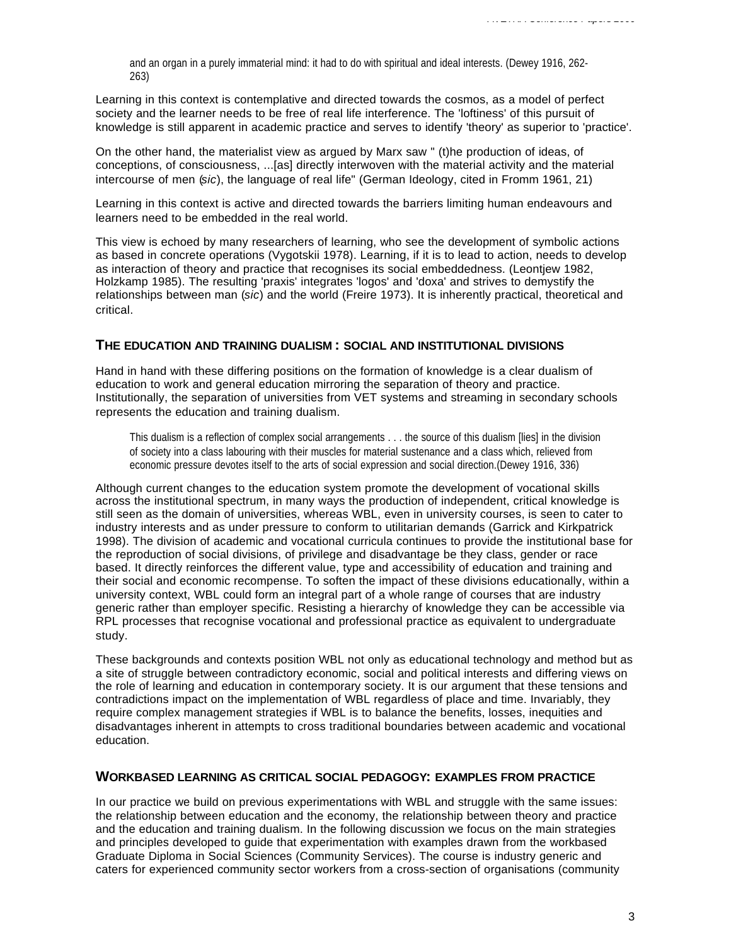and an organ in a purely immaterial mind: it had to do with spiritual and ideal interests. (Dewey 1916, 262- 263)

Learning in this context is contemplative and directed towards the cosmos, as a model of perfect society and the learner needs to be free of real life interference. The 'loftiness' of this pursuit of knowledge is still apparent in academic practice and serves to identify 'theory' as superior to 'practice'.

On the other hand, the materialist view as argued by Marx saw " (t)he production of ideas, of conceptions, of consciousness, ...[as] directly interwoven with the material activity and the material intercourse of men (*sic*), the language of real life" (German Ideology, cited in Fromm 1961, 21)

Learning in this context is active and directed towards the barriers limiting human endeavours and learners need to be embedded in the real world.

This view is echoed by many researchers of learning, who see the development of symbolic actions as based in concrete operations (Vygotskii 1978). Learning, if it is to lead to action, needs to develop as interaction of theory and practice that recognises its social embeddedness. (Leontjew 1982, Holzkamp 1985). The resulting 'praxis' integrates 'logos' and 'doxa' and strives to demystify the relationships between man (*sic*) and the world (Freire 1973). It is inherently practical, theoretical and critical.

## **THE EDUCATION AND TRAINING DUALISM : SOCIAL AND INSTITUTIONAL DIVISIONS**

Hand in hand with these differing positions on the formation of knowledge is a clear dualism of education to work and general education mirroring the separation of theory and practice. Institutionally, the separation of universities from VET systems and streaming in secondary schools represents the education and training dualism.

This dualism is a reflection of complex social arrangements . . . the source of this dualism [lies] in the division of society into a class labouring with their muscles for material sustenance and a class which, relieved from economic pressure devotes itself to the arts of social expression and social direction.(Dewey 1916, 336)

Although current changes to the education system promote the development of vocational skills across the institutional spectrum, in many ways the production of independent, critical knowledge is still seen as the domain of universities, whereas WBL, even in university courses, is seen to cater to industry interests and as under pressure to conform to utilitarian demands (Garrick and Kirkpatrick 1998). The division of academic and vocational curricula continues to provide the institutional base for the reproduction of social divisions, of privilege and disadvantage be they class, gender or race based. It directly reinforces the different value, type and accessibility of education and training and their social and economic recompense. To soften the impact of these divisions educationally, within a university context, WBL could form an integral part of a whole range of courses that are industry generic rather than employer specific. Resisting a hierarchy of knowledge they can be accessible via RPL processes that recognise vocational and professional practice as equivalent to undergraduate study.

These backgrounds and contexts position WBL not only as educational technology and method but as a site of struggle between contradictory economic, social and political interests and differing views on the role of learning and education in contemporary society. It is our argument that these tensions and contradictions impact on the implementation of WBL regardless of place and time. Invariably, they require complex management strategies if WBL is to balance the benefits, losses, inequities and disadvantages inherent in attempts to cross traditional boundaries between academic and vocational education.

## **WORKBASED LEARNING AS CRITICAL SOCIAL PEDAGOGY: EXAMPLES FROM PRACTICE**

In our practice we build on previous experimentations with WBL and struggle with the same issues: the relationship between education and the economy, the relationship between theory and practice and the education and training dualism. In the following discussion we focus on the main strategies and principles developed to guide that experimentation with examples drawn from the workbased Graduate Diploma in Social Sciences (Community Services). The course is industry generic and caters for experienced community sector workers from a cross-section of organisations (community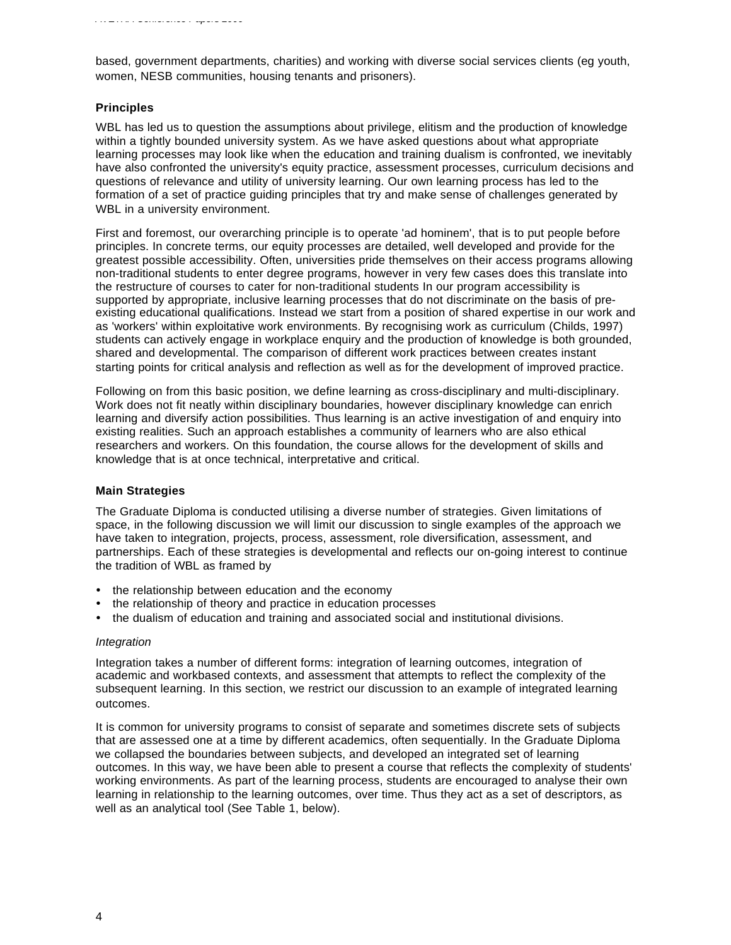based, government departments, charities) and working with diverse social services clients (eg youth, women, NESB communities, housing tenants and prisoners).

## **Principles**

WBL has led us to question the assumptions about privilege, elitism and the production of knowledge within a tightly bounded university system. As we have asked questions about what appropriate learning processes may look like when the education and training dualism is confronted, we inevitably have also confronted the university's equity practice, assessment processes, curriculum decisions and questions of relevance and utility of university learning. Our own learning process has led to the formation of a set of practice guiding principles that try and make sense of challenges generated by WBL in a university environment.

First and foremost, our overarching principle is to operate 'ad hominem', that is to put people before principles. In concrete terms, our equity processes are detailed, well developed and provide for the greatest possible accessibility. Often, universities pride themselves on their access programs allowing non-traditional students to enter degree programs, however in very few cases does this translate into the restructure of courses to cater for non-traditional students In our program accessibility is supported by appropriate, inclusive learning processes that do not discriminate on the basis of preexisting educational qualifications. Instead we start from a position of shared expertise in our work and as 'workers' within exploitative work environments. By recognising work as curriculum (Childs, 1997) students can actively engage in workplace enquiry and the production of knowledge is both grounded, shared and developmental. The comparison of different work practices between creates instant starting points for critical analysis and reflection as well as for the development of improved practice.

Following on from this basic position, we define learning as cross-disciplinary and multi-disciplinary. Work does not fit neatly within disciplinary boundaries, however disciplinary knowledge can enrich learning and diversify action possibilities. Thus learning is an active investigation of and enquiry into existing realities. Such an approach establishes a community of learners who are also ethical researchers and workers. On this foundation, the course allows for the development of skills and knowledge that is at once technical, interpretative and critical.

#### **Main Strategies**

The Graduate Diploma is conducted utilising a diverse number of strategies. Given limitations of space, in the following discussion we will limit our discussion to single examples of the approach we have taken to integration, projects, process, assessment, role diversification, assessment, and partnerships. Each of these strategies is developmental and reflects our on-going interest to continue the tradition of WBL as framed by

- the relationship between education and the economy
- the relationship of theory and practice in education processes
- the dualism of education and training and associated social and institutional divisions.

#### *Integration*

Integration takes a number of different forms: integration of learning outcomes, integration of academic and workbased contexts, and assessment that attempts to reflect the complexity of the subsequent learning. In this section, we restrict our discussion to an example of integrated learning outcomes.

It is common for university programs to consist of separate and sometimes discrete sets of subjects that are assessed one at a time by different academics, often sequentially. In the Graduate Diploma we collapsed the boundaries between subjects, and developed an integrated set of learning outcomes. In this way, we have been able to present a course that reflects the complexity of students' working environments. As part of the learning process, students are encouraged to analyse their own learning in relationship to the learning outcomes, over time. Thus they act as a set of descriptors, as well as an analytical tool (See Table 1, below).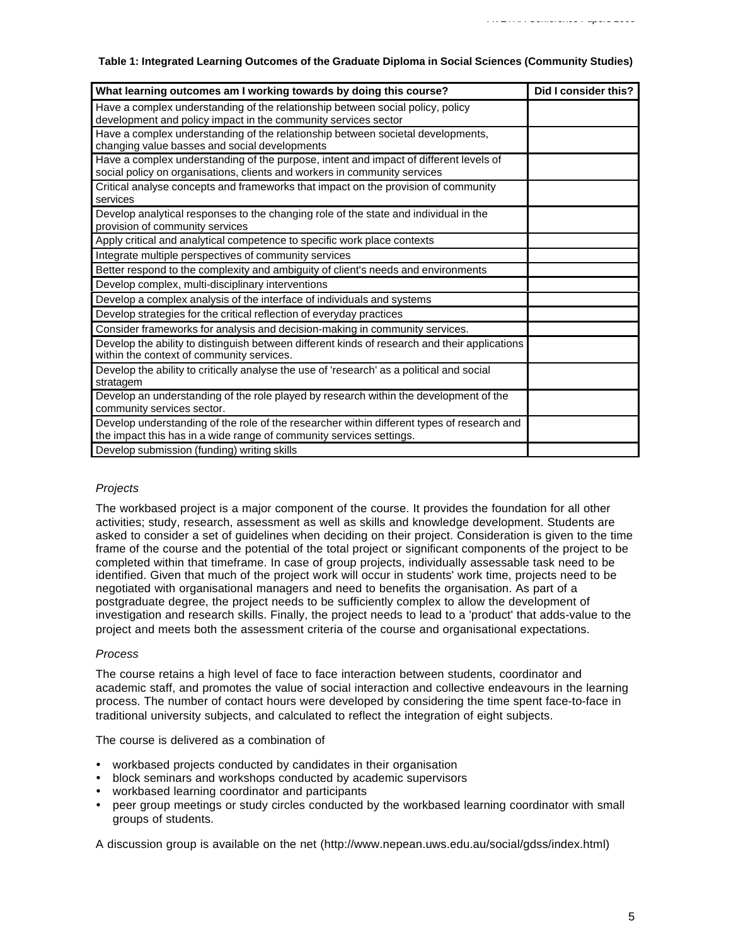#### **Table 1: Integrated Learning Outcomes of the Graduate Diploma in Social Sciences (Community Studies)**

| What learning outcomes am I working towards by doing this course?                                                                                                  | Did I consider this? |
|--------------------------------------------------------------------------------------------------------------------------------------------------------------------|----------------------|
| Have a complex understanding of the relationship between social policy, policy<br>development and policy impact in the community services sector                   |                      |
| Have a complex understanding of the relationship between societal developments,<br>changing value basses and social developments                                   |                      |
| Have a complex understanding of the purpose, intent and impact of different levels of<br>social policy on organisations, clients and workers in community services |                      |
| Critical analyse concepts and frameworks that impact on the provision of community<br>services                                                                     |                      |
| Develop analytical responses to the changing role of the state and individual in the<br>provision of community services                                            |                      |
| Apply critical and analytical competence to specific work place contexts                                                                                           |                      |
| Integrate multiple perspectives of community services                                                                                                              |                      |
| Better respond to the complexity and ambiguity of client's needs and environments                                                                                  |                      |
| Develop complex, multi-disciplinary interventions                                                                                                                  |                      |
| Develop a complex analysis of the interface of individuals and systems                                                                                             |                      |
| Develop strategies for the critical reflection of everyday practices                                                                                               |                      |
| Consider frameworks for analysis and decision-making in community services.                                                                                        |                      |
| Develop the ability to distinguish between different kinds of research and their applications<br>within the context of community services.                         |                      |
| Develop the ability to critically analyse the use of 'research' as a political and social<br>stratagem                                                             |                      |
| Develop an understanding of the role played by research within the development of the<br>community services sector.                                                |                      |
| Develop understanding of the role of the researcher within different types of research and<br>the impact this has in a wide range of community services settings.  |                      |
| Develop submission (funding) writing skills                                                                                                                        |                      |

#### *Projects*

The workbased project is a major component of the course. It provides the foundation for all other activities; study, research, assessment as well as skills and knowledge development. Students are asked to consider a set of guidelines when deciding on their project. Consideration is given to the time frame of the course and the potential of the total project or significant components of the project to be completed within that timeframe. In case of group projects, individually assessable task need to be identified. Given that much of the project work will occur in students' work time, projects need to be negotiated with organisational managers and need to benefits the organisation. As part of a postgraduate degree, the project needs to be sufficiently complex to allow the development of investigation and research skills. Finally, the project needs to lead to a 'product' that adds-value to the project and meets both the assessment criteria of the course and organisational expectations.

#### *Process*

The course retains a high level of face to face interaction between students, coordinator and academic staff, and promotes the value of social interaction and collective endeavours in the learning process. The number of contact hours were developed by considering the time spent face-to-face in traditional university subjects, and calculated to reflect the integration of eight subjects.

The course is delivered as a combination of

- workbased projects conducted by candidates in their organisation
- block seminars and workshops conducted by academic supervisors
- workbased learning coordinator and participants
- ü peer group meetings or study circles conducted by the workbased learning coordinator with small groups of students.

A discussion group is available on the net (http://www.nepean.uws.edu.au/social/gdss/index.html)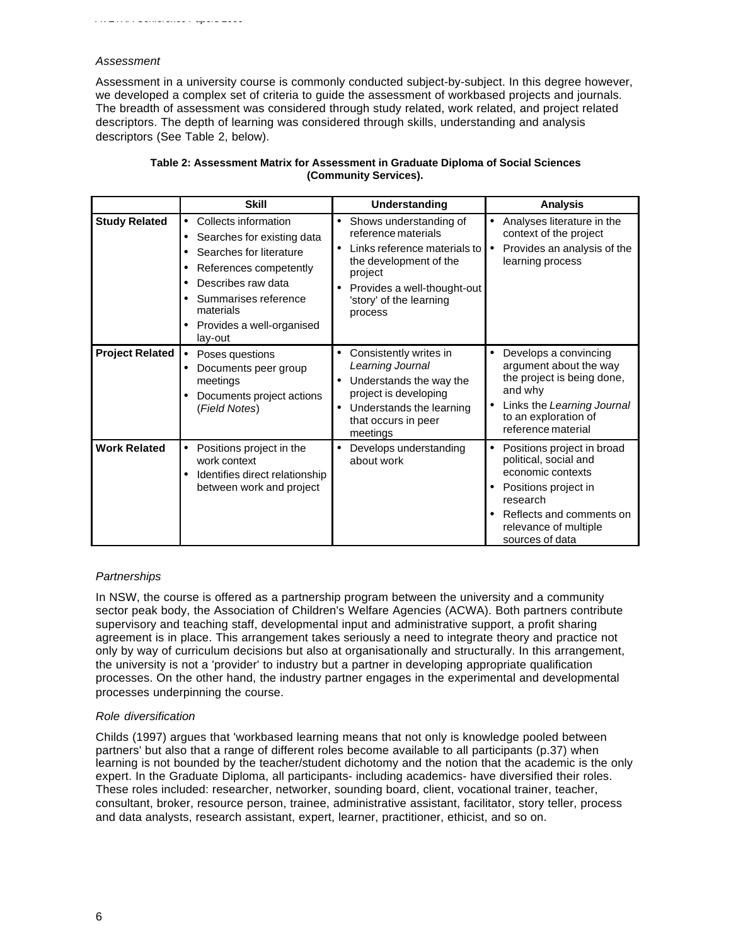## *Assessment*

Assessment in a university course is commonly conducted subject-by-subject. In this degree however, we developed a complex set of criteria to guide the assessment of workbased projects and journals. The breadth of assessment was considered through study related, work related, and project related descriptors. The depth of learning was considered through skills, understanding and analysis descriptors (See Table 2, below).

|                        | <b>Skill</b>                                                                                                                                                                                                            | Understanding                                                                                                                                                                           | <b>Analysis</b>                                                                                                                                                                           |
|------------------------|-------------------------------------------------------------------------------------------------------------------------------------------------------------------------------------------------------------------------|-----------------------------------------------------------------------------------------------------------------------------------------------------------------------------------------|-------------------------------------------------------------------------------------------------------------------------------------------------------------------------------------------|
| <b>Study Related</b>   | Collects information<br>$\bullet$<br>Searches for existing data<br>Searches for literature<br>References competently<br>Describes raw data<br>Summarises reference<br>materials<br>Provides a well-organised<br>lay-out | Shows understanding of<br>reference materials<br>Links reference materials to<br>the development of the<br>project<br>Provides a well-thought-out<br>'story' of the learning<br>process | Analyses literature in the<br>$\bullet$<br>context of the project<br>Provides an analysis of the<br>learning process                                                                      |
| <b>Project Related</b> | Poses questions<br>$\bullet$<br>Documents peer group<br>meetings<br>Documents project actions<br>(Field Notes)                                                                                                          | Consistently writes in<br>$\bullet$<br>Learning Journal<br>Understands the way the<br>project is developing<br>Understands the learning<br>$\bullet$<br>that occurs in peer<br>meetings | Develops a convincing<br>$\bullet$<br>argument about the way<br>the project is being done,<br>and why<br>Links the Learning Journal<br>to an exploration of<br>reference material         |
| <b>Work Related</b>    | Positions project in the<br>$\bullet$<br>work context<br>Identifies direct relationship<br>between work and project                                                                                                     | Develops understanding<br>about work                                                                                                                                                    | Positions project in broad<br>٠<br>political, social and<br>economic contexts<br>Positions project in<br>research<br>Reflects and comments on<br>relevance of multiple<br>sources of data |

#### **Table 2: Assessment Matrix for Assessment in Graduate Diploma of Social Sciences (Community Services).**

## *Partnerships*

In NSW, the course is offered as a partnership program between the university and a community sector peak body, the Association of Children's Welfare Agencies (ACWA). Both partners contribute supervisory and teaching staff, developmental input and administrative support, a profit sharing agreement is in place. This arrangement takes seriously a need to integrate theory and practice not only by way of curriculum decisions but also at organisationally and structurally. In this arrangement, the university is not a 'provider' to industry but a partner in developing appropriate qualification processes. On the other hand, the industry partner engages in the experimental and developmental processes underpinning the course.

#### *Role diversification*

Childs (1997) argues that 'workbased learning means that not only is knowledge pooled between partners' but also that a range of different roles become available to all participants (p.37) when learning is not bounded by the teacher/student dichotomy and the notion that the academic is the only expert. In the Graduate Diploma, all participants- including academics- have diversified their roles. These roles included: researcher, networker, sounding board, client, vocational trainer, teacher, consultant, broker, resource person, trainee, administrative assistant, facilitator, story teller, process and data analysts, research assistant, expert, learner, practitioner, ethicist, and so on.